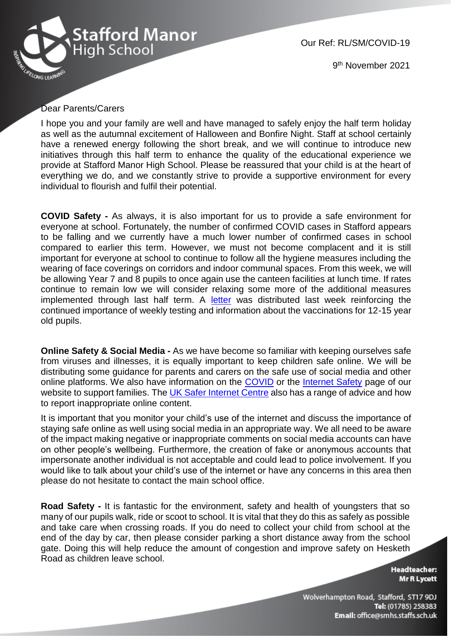

Our Ref: RL/SM/COVID-19

9 th November 2021

## Dear Parents/Carers

I hope you and your family are well and have managed to safely enjoy the half term holiday as well as the autumnal excitement of Halloween and Bonfire Night. Staff at school certainly have a renewed energy following the short break, and we will continue to introduce new initiatives through this half term to enhance the quality of the educational experience we provide at Stafford Manor High School. Please be reassured that your child is at the heart of everything we do, and we constantly strive to provide a supportive environment for every individual to flourish and fulfil their potential.

**COVID Safety -** As always, it is also important for us to provide a safe environment for everyone at school. Fortunately, the number of confirmed COVID cases in Stafford appears to be falling and we currently have a much lower number of confirmed cases in school compared to earlier this term. However, we must not become complacent and it is still important for everyone at school to continue to follow all the hygiene measures including the wearing of face coverings on corridors and indoor communal spaces. From this week, we will be allowing Year 7 and 8 pupils to once again use the canteen facilities at lunch time. If rates continue to remain low we will consider relaxing some more of the additional measures implemented through last half term. A [letter](https://13110305-7f07-022b-22b5-d5167c77c48b.filesusr.com/ugd/7451a1_df244304a4c24a7d82d5dba5c9b78953.pdf) was distributed last week reinforcing the continued importance of weekly testing and information about the vaccinations for 12-15 year old pupils.

**Online Safety & Social Media -** As we have become so familiar with keeping ourselves safe from viruses and illnesses, it is equally important to keep children safe online. We will be distributing some guidance for parents and carers on the safe use of social media and other online platforms. We also have information on the [COVID](https://www.staffordmanorhighschool.com/covid-19-updates) or the [Internet Safety](https://www.staffordmanorhighschool.com/internet-safety) page of our website to support families. The [UK Safer Internet Centre](https://reportharmfulcontent.com/) also has a range of advice and how to report inappropriate online content.

It is important that you monitor your child's use of the internet and discuss the importance of staying safe online as well using social media in an appropriate way. We all need to be aware of the impact making negative or inappropriate comments on social media accounts can have on other people's wellbeing. Furthermore, the creation of fake or anonymous accounts that impersonate another individual is not acceptable and could lead to police involvement. If you would like to talk about your child's use of the internet or have any concerns in this area then please do not hesitate to contact the main school office.

**Road Safety -** It is fantastic for the environment, safety and health of youngsters that so many of our pupils walk, ride or scoot to school. It is vital that they do this as safely as possible and take care when crossing roads. If you do need to collect your child from school at the end of the day by car, then please consider parking a short distance away from the school gate. Doing this will help reduce the amount of congestion and improve safety on Hesketh Road as children leave school.

> **Headteacher: Mr R Lycett**

Wolverhampton Road, Stafford, ST17 9DJ Tel: (01785) 258383 Email: office@smhs.staffs.sch.uk